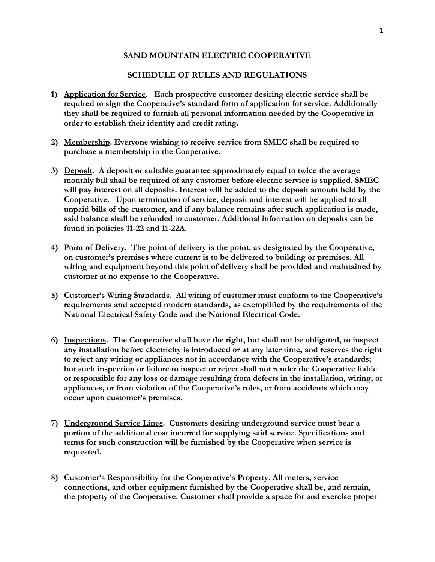## **SAND MOUNTAIN ELECTRIC COOPERATIVE**

## **SCHEDULE OF RULES AND REGULATIONS**

- **1) Application for Service. Each prospective customer desiring electric service shall be required to sign the Cooperative's standard form of application for service. Additionally they shall be required to furnish all personal information needed by the Cooperative in order to establish their identity and credit rating.**
- **2) Membership. Everyone wishing to receive service from SMEC shall be required to purchase a membership in the Cooperative.**
- **3) Deposit. A deposit or suitable guarantee approximately equal to twice the average monthly bill shall be required of any customer before electric service is supplied. SMEC will pay interest on all deposits. Interest will be added to the deposit amount held by the Cooperative. Upon termination of service, deposit and interest will be applied to all unpaid bills of the customer, and if any balance remains after such application is made, said balance shall be refunded to customer. Additional information on deposits can be found in policies 11-22 and 11-22A.**
- **4) Point of Delivery. The point of delivery is the point, as designated by the Cooperative, on customer's premises where current is to be delivered to building or premises. All wiring and equipment beyond this point of delivery shall be provided and maintained by customer at no expense to the Cooperative.**
- **5) Customer's Wiring Standards. All wiring of customer must conform to the Cooperative's requirements and accepted modern standards, as exemplified by the requirements of the National Electrical Safety Code and the National Electrical Code.**
- **6) Inspections. The Cooperative shall have the right, but shall not be obligated, to inspect any installation before electricity is introduced or at any later time, and reserves the right to reject any wiring or appliances not in accordance with the Cooperative's standards; but such inspection or failure to inspect or reject shall not render the Cooperative liable or responsible for any loss or damage resulting from defects in the installation, wiring, or appliances, or from violation of the Cooperative's rules, or from accidents which may occur upon customer's premises.**
- **7) Underground Service Lines. Customers desiring underground service must bear a portion of the additional cost incurred for supplying said service. Specifications and terms for such construction will be furnished by the Cooperative when service is requested.**
- **8) Customer's Responsibility for the Cooperative's Property. All meters, service connections, and other equipment furnished by the Cooperative shall be, and remain, the property of the Cooperative. Customer shall provide a space for and exercise proper**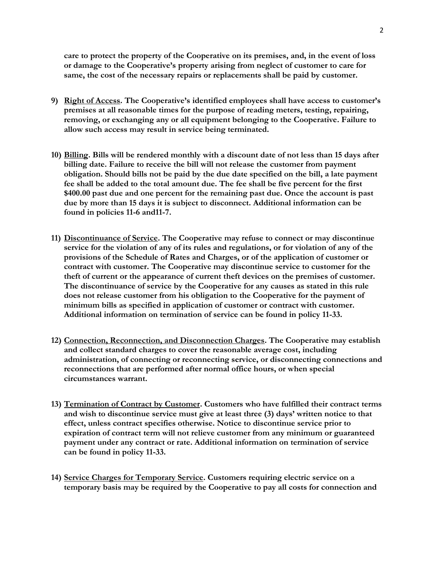**care to protect the property of the Cooperative on its premises, and, in the event of loss or damage to the Cooperative's property arising from neglect of customer to care for same, the cost of the necessary repairs or replacements shall be paid by customer.**

- **9) Right of Access. The Cooperative's identified employees shall have access to customer's premises at all reasonable times for the purpose of reading meters, testing, repairing, removing, or exchanging any or all equipment belonging to the Cooperative. Failure to allow such access may result in service being terminated.**
- **10) Billing. Bills will be rendered monthly with a discount date of not less than 15 days after billing date. Failure to receive the bill will not release the customer from payment obligation. Should bills not be paid by the due date specified on the bill, a late payment fee shall be added to the total amount due. The fee shall be five percent for the first \$400.00 past due and one percent for the remaining past due. Once the account is past due by more than 15 days it is subject to disconnect. Additional information can be found in policies 11-6 and11-7.**
- **11) Discontinuance of Service. The Cooperative may refuse to connect or may discontinue service for the violation of any of its rules and regulations, or for violation of any of the provisions of the Schedule of Rates and Charges, or of the application of customer or contract with customer. The Cooperative may discontinue service to customer for the theft of current or the appearance of current theft devices on the premises of customer. The discontinuance of service by the Cooperative for any causes as stated in this rule does not release customer from his obligation to the Cooperative for the payment of minimum bills as specified in application of customer or contract with customer. Additional information on termination of service can be found in policy 11-33.**
- **12) Connection, Reconnection, and Disconnection Charges. The Cooperative may establish and collect standard charges to cover the reasonable average cost, including administration, of connecting or reconnecting service, or disconnecting connections and reconnections that are performed after normal office hours, or when special circumstances warrant.**
- **13) Termination of Contract by Customer. Customers who have fulfilled their contract terms and wish to discontinue service must give at least three (3) days' written notice to that effect, unless contract specifies otherwise. Notice to discontinue service prior to expiration of contract term will not relieve customer from any minimum or guaranteed payment under any contract or rate. Additional information on termination of service can be found in policy 11-33.**
- **14) Service Charges for Temporary Service. Customers requiring electric service on a temporary basis may be required by the Cooperative to pay all costs for connection and**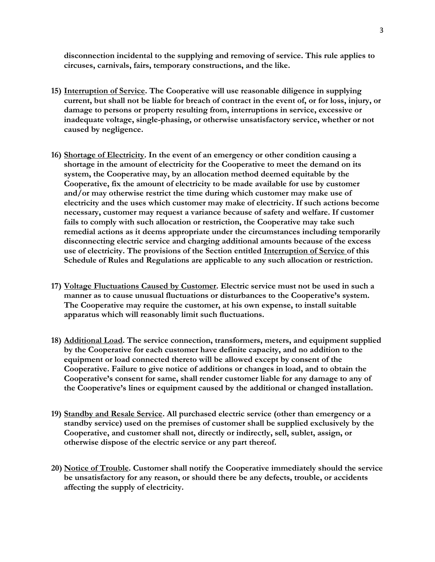**disconnection incidental to the supplying and removing of service. This rule applies to circuses, carnivals, fairs, temporary constructions, and the like.**

- **15) Interruption of Service. The Cooperative will use reasonable diligence in supplying current, but shall not be liable for breach of contract in the event of, or for loss, injury, or damage to persons or property resulting from, interruptions in service, excessive or inadequate voltage, single-phasing, or otherwise unsatisfactory service, whether or not caused by negligence.**
- **16) Shortage of Electricity. In the event of an emergency or other condition causing a shortage in the amount of electricity for the Cooperative to meet the demand on its system, the Cooperative may, by an allocation method deemed equitable by the Cooperative, fix the amount of electricity to be made available for use by customer and/or may otherwise restrict the time during which customer may make use of electricity and the uses which customer may make of electricity. If such actions become necessary, customer may request a variance because of safety and welfare. If customer fails to comply with such allocation or restriction, the Cooperative may take such remedial actions as it deems appropriate under the circumstances including temporarily disconnecting electric service and charging additional amounts because of the excess use of electricity. The provisions of the Section entitled Interruption of Service of this Schedule of Rules and Regulations are applicable to any such allocation or restriction.**
- **17) Voltage Fluctuations Caused by Customer. Electric service must not be used in such a manner as to cause unusual fluctuations or disturbances to the Cooperative's system. The Cooperative may require the customer, at his own expense, to install suitable apparatus which will reasonably limit such fluctuations.**
- **18) Additional Load. The service connection, transformers, meters, and equipment supplied by the Cooperative for each customer have definite capacity, and no addition to the equipment or load connected thereto will be allowed except by consent of the Cooperative. Failure to give notice of additions or changes in load, and to obtain the Cooperative's consent for same, shall render customer liable for any damage to any of the Cooperative's lines or equipment caused by the additional or changed installation.**
- **19) Standby and Resale Service. All purchased electric service (other than emergency or a standby service) used on the premises of customer shall be supplied exclusively by the Cooperative, and customer shall not, directly or indirectly, sell, sublet, assign, or otherwise dispose of the electric service or any part thereof.**
- **20) Notice of Trouble. Customer shall notify the Cooperative immediately should the service be unsatisfactory for any reason, or should there be any defects, trouble, or accidents affecting the supply of electricity.**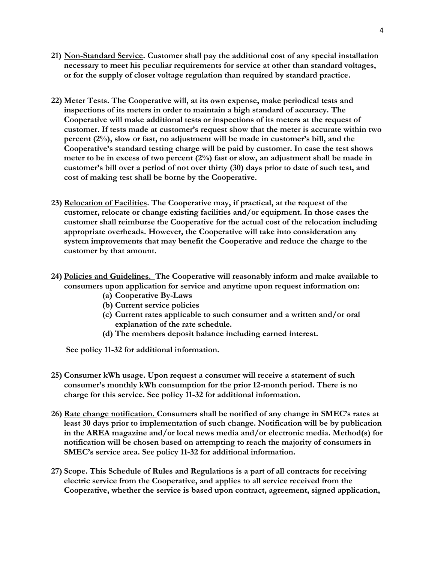- **21) Non-Standard Service. Customer shall pay the additional cost of any special installation necessary to meet his peculiar requirements for service at other than standard voltages, or for the supply of closer voltage regulation than required by standard practice.**
- **22) Meter Tests. The Cooperative will, at its own expense, make periodical tests and inspections of its meters in order to maintain a high standard of accuracy. The Cooperative will make additional tests or inspections of its meters at the request of customer. If tests made at customer's request show that the meter is accurate within two percent (2%), slow or fast, no adjustment will be made in customer's bill, and the Cooperative's standard testing charge will be paid by customer. In case the test shows meter to be in excess of two percent (2%) fast or slow, an adjustment shall be made in customer's bill over a period of not over thirty (30) days prior to date of such test, and cost of making test shall be borne by the Cooperative.**
- **23) Relocation of Facilities. The Cooperative may, if practical, at the request of the customer, relocate or change existing facilities and/or equipment. In those cases the customer shall reimburse the Cooperative for the actual cost of the relocation including appropriate overheads. However, the Cooperative will take into consideration any system improvements that may benefit the Cooperative and reduce the charge to the customer by that amount.**
- **24) Policies and Guidelines. The Cooperative will reasonably inform and make available to consumers upon application for service and anytime upon request information on:** 
	- **(a) Cooperative By-Laws**
	- **(b) Current service policies**
	- **(c) Current rates applicable to such consumer and a written and/or oral explanation of the rate schedule.**
	- **(d) The members deposit balance including earned interest.**

 **See policy 11-32 for additional information.** 

- **25) Consumer kWh usage. Upon request a consumer will receive a statement of such consumer's monthly kWh consumption for the prior 12-month period. There is no charge for this service. See policy 11-32 for additional information.**
- **26) Rate change notification. Consumers shall be notified of any change in SMEC's rates at least 30 days prior to implementation of such change. Notification will be by publication in the AREA magazine and/or local news media and/or electronic media. Method(s) for notification will be chosen based on attempting to reach the majority of consumers in SMEC's service area. See policy 11-32 for additional information.**
- **27) Scope. This Schedule of Rules and Regulations is a part of all contracts for receiving electric service from the Cooperative, and applies to all service received from the Cooperative, whether the service is based upon contract, agreement, signed application,**